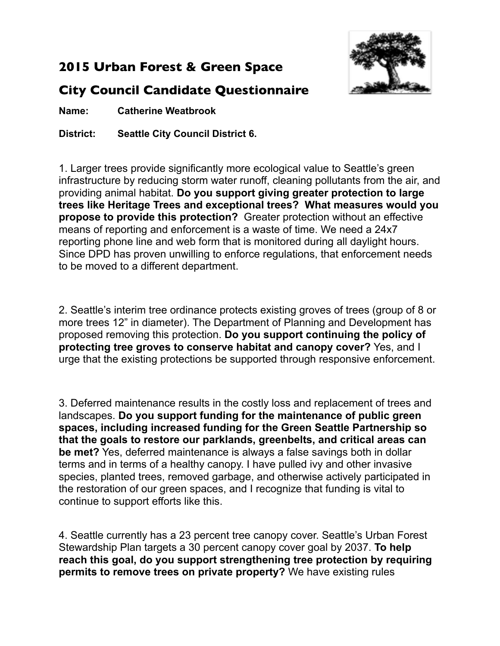## **2015 Urban Forest & Green Space**



**Name: Catherine Weatbrook**

**District: Seattle City Council District 6.**

1. Larger trees provide significantly more ecological value to Seattle's green infrastructure by reducing storm water runoff, cleaning pollutants from the air, and providing animal habitat. **Do you support giving greater protection to large trees like Heritage Trees and exceptional trees? What measures would you propose to provide this protection?** Greater protection without an effective means of reporting and enforcement is a waste of time. We need a 24x7 reporting phone line and web form that is monitored during all daylight hours. Since DPD has proven unwilling to enforce regulations, that enforcement needs to be moved to a different department.

2. Seattle's interim tree ordinance protects existing groves of trees (group of 8 or more trees 12" in diameter). The Department of Planning and Development has proposed removing this protection. **Do you support continuing the policy of protecting tree groves to conserve habitat and canopy cover?** Yes, and I urge that the existing protections be supported through responsive enforcement.

3. Deferred maintenance results in the costly loss and replacement of trees and landscapes. **Do you support funding for the maintenance of public green spaces, including increased funding for the Green Seattle Partnership so that the goals to restore our parklands, greenbelts, and critical areas can be met?** Yes, deferred maintenance is always a false savings both in dollar terms and in terms of a healthy canopy. I have pulled ivy and other invasive species, planted trees, removed garbage, and otherwise actively participated in the restoration of our green spaces, and I recognize that funding is vital to continue to support efforts like this.

4. Seattle currently has a 23 percent tree canopy cover. Seattle's Urban Forest Stewardship Plan targets a 30 percent canopy cover goal by 2037. **To help reach this goal, do you support strengthening tree protection by requiring permits to remove trees on private property?** We have existing rules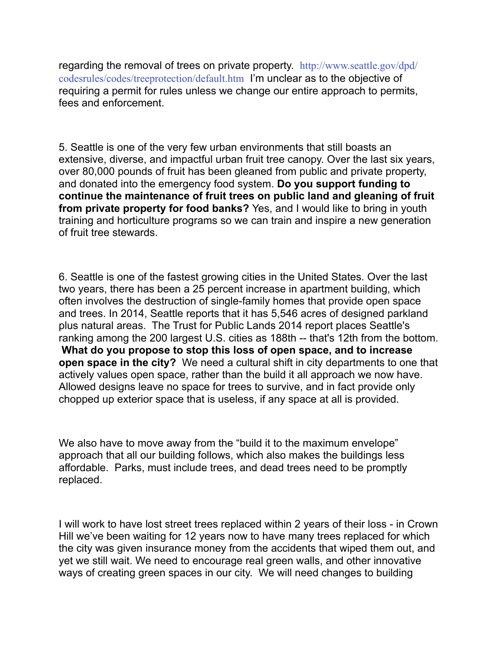[regarding the removal of trees on private property.](http://www.seattle.gov/dpd/codesrules/codes/treeprotection/default.htm) http://www.seattle.gov/dpd/ codesrules/codes/treeprotection/default.htm I'm unclear as to the objective of requiring a permit for rules unless we change our entire approach to permits, fees and enforcement.

5. Seattle is one of the very few urban environments that still boasts an extensive, diverse, and impactful urban fruit tree canopy. Over the last six years, over 80,000 pounds of fruit has been gleaned from public and private property, and donated into the emergency food system. **Do you support funding to continue the maintenance of fruit trees on public land and gleaning of fruit from private property for food banks?** Yes, and I would like to bring in youth training and horticulture programs so we can train and inspire a new generation of fruit tree stewards.

6. Seattle is one of the fastest growing cities in the United States. Over the last two years, there has been a 25 percent increase in apartment building, which often involves the destruction of single-family homes that provide open space and trees. In 2014, Seattle reports that it has 5,546 acres of designed parkland plus natural areas. The Trust for Public Lands 2014 report places Seattle's ranking among the 200 largest U.S. cities as 188th -- that's 12th from the bottom. **What do you propose to stop this loss of open space, and to increase open space in the city?** We need a cultural shift in city departments to one that actively values open space, rather than the build it all approach we now have. Allowed designs leave no space for trees to survive, and in fact provide only chopped up exterior space that is useless, if any space at all is provided.

We also have to move away from the "build it to the maximum envelope" approach that all our building follows, which also makes the buildings less affordable. Parks, must include trees, and dead trees need to be promptly replaced.

I will work to have lost street trees replaced within 2 years of their loss - in Crown Hill we've been waiting for 12 years now to have many trees replaced for which the city was given insurance money from the accidents that wiped them out, and yet we still wait. We need to encourage real green walls, and other innovative ways of creating green spaces in our city. We will need changes to building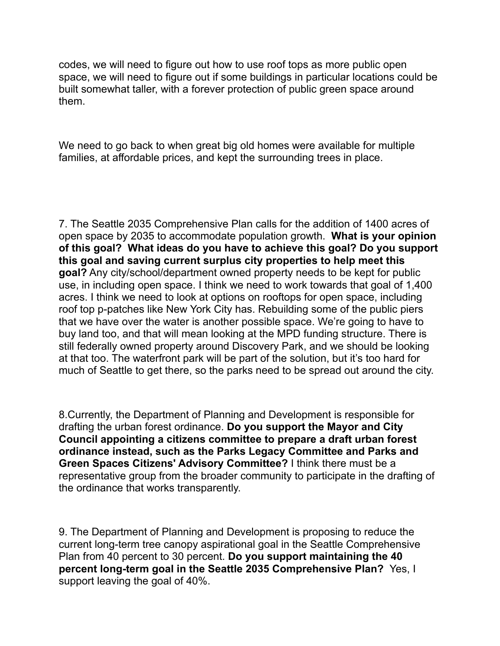codes, we will need to figure out how to use roof tops as more public open space, we will need to figure out if some buildings in particular locations could be built somewhat taller, with a forever protection of public green space around them.

We need to go back to when great big old homes were available for multiple families, at affordable prices, and kept the surrounding trees in place.

7. The Seattle 2035 Comprehensive Plan calls for the addition of 1400 acres of open space by 2035 to accommodate population growth. **What is your opinion of this goal? What ideas do you have to achieve this goal? Do you support this goal and saving current surplus city properties to help meet this goal?** Any city/school/department owned property needs to be kept for public use, in including open space. I think we need to work towards that goal of 1,400 acres. I think we need to look at options on rooftops for open space, including roof top p-patches like New York City has. Rebuilding some of the public piers that we have over the water is another possible space. We're going to have to buy land too, and that will mean looking at the MPD funding structure. There is still federally owned property around Discovery Park, and we should be looking at that too. The waterfront park will be part of the solution, but it's too hard for much of Seattle to get there, so the parks need to be spread out around the city.

8.Currently, the Department of Planning and Development is responsible for drafting the urban forest ordinance. **Do you support the Mayor and City Council appointing a citizens committee to prepare a draft urban forest ordinance instead, such as the Parks Legacy Committee and Parks and Green Spaces Citizens' Advisory Committee?** I think there must be a representative group from the broader community to participate in the drafting of the ordinance that works transparently.

9. The Department of Planning and Development is proposing to reduce the current long-term tree canopy aspirational goal in the Seattle Comprehensive Plan from 40 percent to 30 percent. **Do you support maintaining the 40 percent long-term goal in the Seattle 2035 Comprehensive Plan?** Yes, I support leaving the goal of 40%.